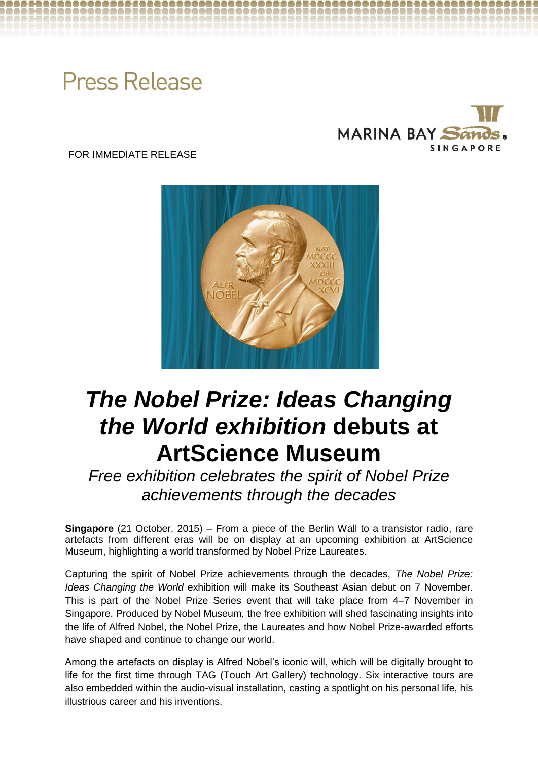# **Press Release**



FOR IMMEDIATE RELEASE



## *The Nobel Prize: Ideas Changing the World exhibition* **debuts at ArtScience Museum**

*Free exhibition celebrates the spirit of Nobel Prize achievements through the decades*

**Singapore** (21 October, 2015) – From a piece of the Berlin Wall to a transistor radio, rare artefacts from different eras will be on display at an upcoming exhibition at ArtScience Museum, highlighting a world transformed by Nobel Prize Laureates.

Capturing the spirit of Nobel Prize achievements through the decades, *The Nobel Prize: Ideas Changing the World* exhibition will make its Southeast Asian debut on 7 November. This is part of the Nobel Prize Series event that will take place from 4–7 November in Singapore. Produced by Nobel Museum, the free exhibition will shed fascinating insights into the life of Alfred Nobel, the Nobel Prize, the Laureates and how Nobel Prize-awarded efforts have shaped and continue to change our world.

Among the artefacts on display is Alfred Nobel's iconic will, which will be digitally brought to life for the first time through TAG (Touch Art Gallery) technology. Six interactive tours are also embedded within the audio-visual installation, casting a spotlight on his personal life, his illustrious career and his inventions.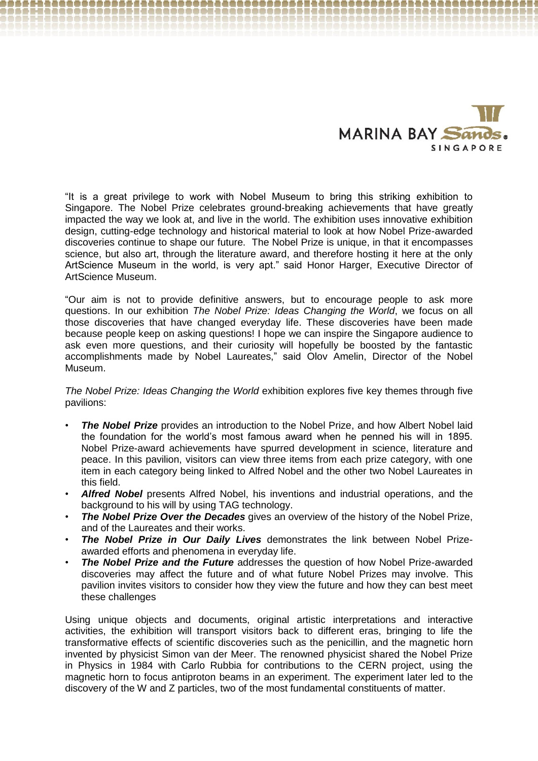

"It is a great privilege to work with Nobel Museum to bring this striking exhibition to Singapore. The Nobel Prize celebrates ground-breaking achievements that have greatly impacted the way we look at, and live in the world. The exhibition uses innovative exhibition design, cutting-edge technology and historical material to look at how Nobel Prize-awarded discoveries continue to shape our future. The Nobel Prize is unique, in that it encompasses science, but also art, through the literature award, and therefore hosting it here at the only ArtScience Museum in the world, is very apt." said Honor Harger, Executive Director of ArtScience Museum.

"Our aim is not to provide definitive answers, but to encourage people to ask more questions. In our exhibition *The Nobel Prize: Ideas Changing the World*, we focus on all those discoveries that have changed everyday life. These discoveries have been made because people keep on asking questions! I hope we can inspire the Singapore audience to ask even more questions, and their curiosity will hopefully be boosted by the fantastic accomplishments made by Nobel Laureates," said Olov Amelin, Director of the Nobel Museum.

*The Nobel Prize: Ideas Changing the World* exhibition explores five key themes through five pavilions:

- **The Nobel Prize** provides an introduction to the Nobel Prize, and how Albert Nobel laid the foundation for the world's most famous award when he penned his will in 1895. Nobel Prize-award achievements have spurred development in science, literature and peace. In this pavilion, visitors can view three items from each prize category, with one item in each category being linked to Alfred Nobel and the other two Nobel Laureates in this field.
- *Alfred Nobel* presents Alfred Nobel, his inventions and industrial operations, and the background to his will by using TAG technology.
- *The Nobel Prize Over the Decades* gives an overview of the history of the Nobel Prize, and of the Laureates and their works.
- *The Nobel Prize in Our Daily Lives* demonstrates the link between Nobel Prizeawarded efforts and phenomena in everyday life.
- **The Nobel Prize and the Future** addresses the question of how Nobel Prize-awarded discoveries may affect the future and of what future Nobel Prizes may involve. This pavilion invites visitors to consider how they view the future and how they can best meet these challenges

Using unique objects and documents, original artistic interpretations and interactive activities, the exhibition will transport visitors back to different eras, bringing to life the transformative effects of scientific discoveries such as the penicillin, and the magnetic horn invented by physicist Simon van der Meer. The renowned physicist shared the Nobel Prize in Physics in 1984 with Carlo Rubbia for contributions to the CERN project, using the magnetic horn to focus antiproton beams in an experiment. The experiment later led to the discovery of the W and Z particles, two of the most fundamental constituents of matter.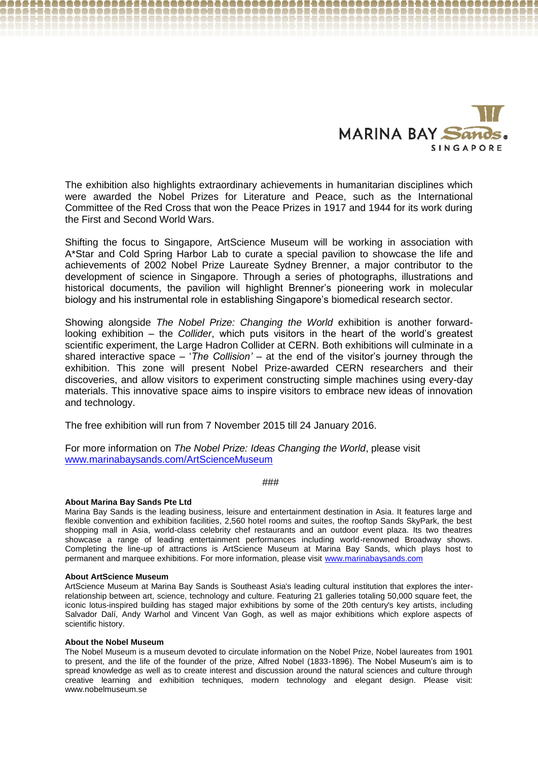

The exhibition also highlights extraordinary achievements in humanitarian disciplines which were awarded the Nobel Prizes for Literature and Peace, such as the International Committee of the Red Cross that won the Peace Prizes in 1917 and 1944 for its work during the First and Second World Wars.

Shifting the focus to Singapore, ArtScience Museum will be working in association with A\*Star and Cold Spring Harbor Lab to curate a special pavilion to showcase the life and achievements of 2002 Nobel Prize Laureate Sydney Brenner, a major contributor to the development of science in Singapore. Through a series of photographs, illustrations and historical documents, the pavilion will highlight Brenner's pioneering work in molecular biology and his instrumental role in establishing Singapore's biomedical research sector.

Showing alongside *The Nobel Prize: Changing the World* exhibition is another forwardlooking exhibition – the *Collider*, which puts visitors in the heart of the world's greatest scientific experiment, the Large Hadron Collider at CERN. Both exhibitions will culminate in a shared interactive space – '*The Collision' –* at the end of the visitor's journey through the exhibition. This zone will present Nobel Prize-awarded CERN researchers and their discoveries, and allow visitors to experiment constructing simple machines using every-day materials. This innovative space aims to inspire visitors to embrace new ideas of innovation and technology.

The free exhibition will run from 7 November 2015 till 24 January 2016.

For more information on *The Nobel Prize: Ideas Changing the World*, please visit [www.marinabaysands.com/ArtScienceMuseum](http://www.marinabaysands.com/ArtScienceMuseum)

###

#### **About Marina Bay Sands Pte Ltd**

Marina Bay Sands is the leading business, leisure and entertainment destination in Asia. It features large and flexible convention and exhibition facilities, 2,560 hotel rooms and suites, the rooftop Sands SkyPark, the best shopping mall in Asia, world-class celebrity chef restaurants and an outdoor event plaza. Its two theatres showcase a range of leading entertainment performances including world-renowned Broadway shows. Completing the line-up of attractions is ArtScience Museum at Marina Bay Sands, which plays host to permanent and marquee exhibitions. For more information, please visit [www.marinabaysands.com](http://www.marinabaysands.com/)

#### **About ArtScience Museum**

ArtScience Museum at Marina Bay Sands is Southeast Asia's leading cultural institution that explores the interrelationship between art, science, technology and culture. Featuring 21 galleries totaling 50,000 square feet, the iconic lotus-inspired building has staged major exhibitions by some of the 20th century's key artists, including Salvador Dalí, Andy Warhol and Vincent Van Gogh, as well as major exhibitions which explore aspects of scientific history.

#### **About the Nobel Museum**

The Nobel Museum is a museum devoted to circulate information on the Nobel Prize, Nobel laureates from 1901 to present, and the life of the founder of the prize, Alfred Nobel (1833-1896). The Nobel Museum's aim is to spread knowledge as well as to create interest and discussion around the natural sciences and culture through creative learning and exhibition techniques, modern technology and elegant design. Please visit: www.nobelmuseum.se